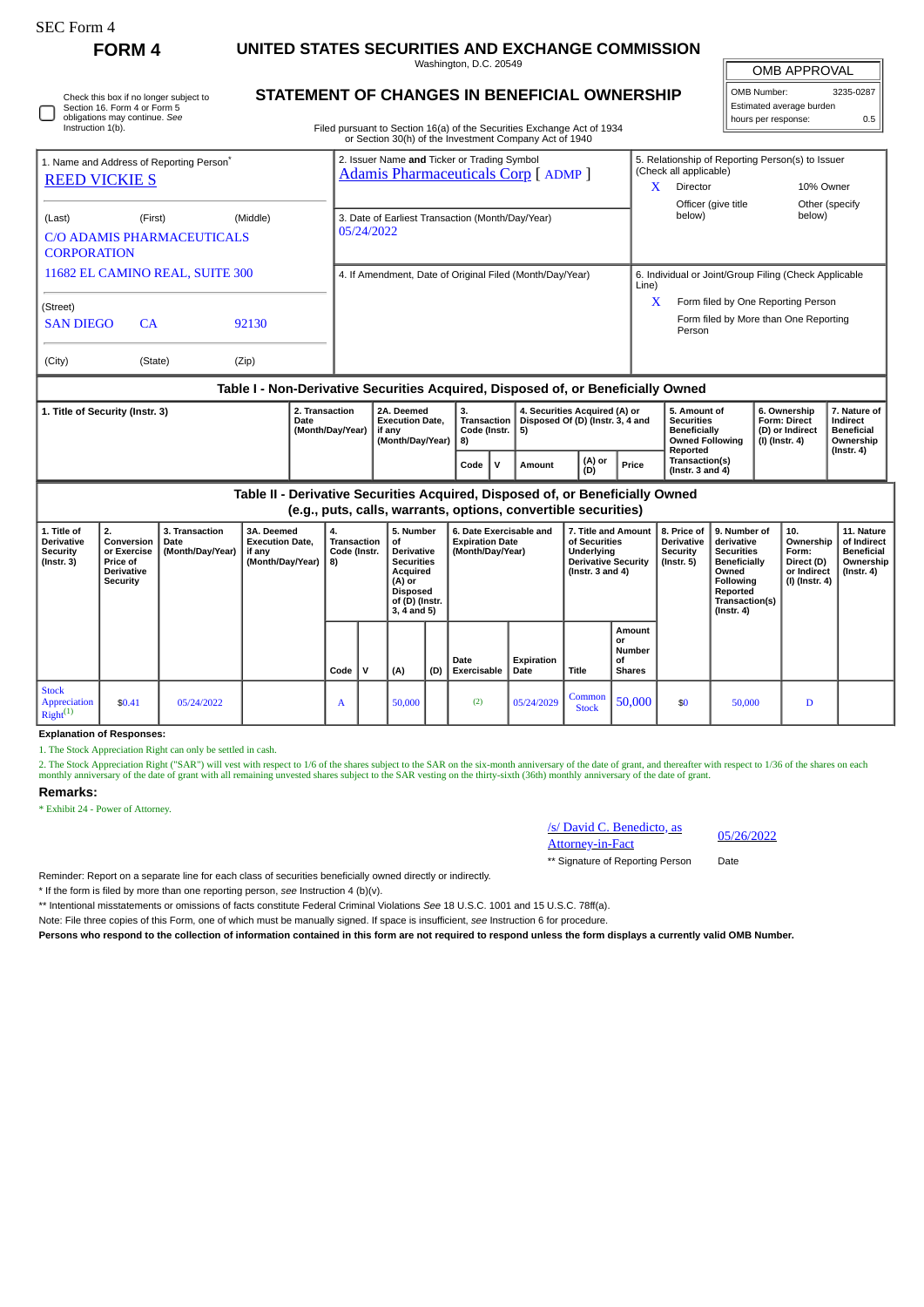**FORM 4 UNITED STATES SECURITIES AND EXCHANGE COMMISSION**

Washington, D.C. 20549 **STATEMENT OF CHANGES IN BENEFICIAL OWNERSHIP** OMB APPROVAL

| OMB Number:              | 3235-0287 |
|--------------------------|-----------|
| Estimated average burden |           |
| hours per response:      | 0.5       |

| Section 16. Form 4 or Form 5<br>obligations may continue. See<br>Instruction 1(b). | Check this box if no longer subject to       |                | STATEMENT OF CHANGES IN BENEFICIAL OWNERSHIP<br>Filed pursuant to Section 16(a) of the Securities Exchange Act of 1934<br>or Section 30(h) of the Investment Company Act of 1940 |            | Estimated average burden<br>0.5<br>hours per response: |                                                                             |                                                       |  |
|------------------------------------------------------------------------------------|----------------------------------------------|----------------|----------------------------------------------------------------------------------------------------------------------------------------------------------------------------------|------------|--------------------------------------------------------|-----------------------------------------------------------------------------|-------------------------------------------------------|--|
| 1. Name and Address of Reporting Person <sup>®</sup><br><b>REED VICKIES</b>        |                                              |                | 2. Issuer Name and Ticker or Trading Symbol<br><b>Adamis Pharmaceuticals Corp [ ADMP ]</b>                                                                                       |            | (Check all applicable)<br>Director                     | 5. Relationship of Reporting Person(s) to Issuer                            | 10% Owner                                             |  |
| (Last)<br><b>CORPORATION</b>                                                       | (First)<br><b>C/O ADAMIS PHARMACEUTICALS</b> | (Middle)       | 3. Date of Earliest Transaction (Month/Day/Year)<br>05/24/2022                                                                                                                   |            | Officer (give title)<br>below)                         |                                                                             | Other (specify)<br>below)                             |  |
| 11682 EL CAMINO REAL, SUITE 300<br>(Street)                                        |                                              |                | 4. If Amendment, Date of Original Filed (Month/Day/Year)                                                                                                                         | Line)<br>X |                                                        | Form filed by One Reporting Person<br>Form filed by More than One Reporting | 6. Individual or Joint/Group Filing (Check Applicable |  |
| <b>SAN DIEGO</b><br>(City)                                                         | <b>CA</b><br>(State)                         | 92130<br>(Zip) |                                                                                                                                                                                  |            | Person                                                 |                                                                             |                                                       |  |

## **Table I - Non-Derivative Securities Acquired, Disposed of, or Beneficially Owned**

| 1. Title of Security (Instr. 3) | 2. Transaction<br>Date<br>(Month/Dav/Year) | 2A. Deemed<br><b>Execution Date.</b><br>if anv<br>(Month/Dav/Year) | з.<br>Code (Instr.   5)<br>l 8) |  | 4. Securities Acquired (A) or<br>Transaction   Disposed Of (D) (Instr. 3, 4 and |               |       | 5. Amount of<br><b>Securities</b><br><b>Beneficially</b><br><b>Owned Following</b><br>Reported | 6. Ownership<br>Form: Direct<br>l (D) or Indirect<br>(I) (Instr. 4) | . Nature of <b>'</b><br>Indirect<br><b>Beneficial</b><br>Ownership |
|---------------------------------|--------------------------------------------|--------------------------------------------------------------------|---------------------------------|--|---------------------------------------------------------------------------------|---------------|-------|------------------------------------------------------------------------------------------------|---------------------------------------------------------------------|--------------------------------------------------------------------|
|                                 |                                            |                                                                    | Code                            |  | Amount                                                                          | (A) or<br>(D) | Price | Transaction(s)<br>$($ lnstr. 3 and 4 $)$                                                       |                                                                     | (Instr. 4)                                                         |

**Table II - Derivative Securities Acquired, Disposed of, or Beneficially Owned (e.g., puts, calls, warrants, options, convertible securities)**

| 1. Title of<br>Derivative<br><b>Security</b><br>$($ Instr. 3 $)$ | 2.<br>Conversion<br>or Exercise<br><b>Price of</b><br><b>Derivative</b><br>Security | 3. Transaction<br>Date<br>(Month/Day/Year) | 3A. Deemed<br><b>Execution Date.</b><br>if any<br>(Month/Day/Year) | 4.<br>Transaction<br>Code (Instr.<br>8) |  | 5. Number<br>0f<br>Derivative<br><b>Securities</b><br>Acquired<br>(A) or<br><b>Disposed</b><br>of (D) (Instr.<br>$3, 4$ and 5) |     | 6. Date Exercisable and<br><b>Expiration Date</b><br>(Month/Day/Year) |                    | 7. Title and Amount<br>of Securities<br>Underlying<br><b>Derivative Security</b><br>( $Instr. 3 and 4$ ) |                                                      | 8. Price of<br><b>Derivative</b><br>Security<br>$($ lnstr. 5 $)$ | 9. Number of<br>derivative<br><b>Securities</b><br><b>Beneficially</b><br>Owned<br>Following<br>Reported<br>Transaction(s)<br>$($ lnstr. 4 $)$ | 10.<br>Ownership<br>Form:<br>Direct (D)<br>or Indirect<br>(I) (Instr. 4) | 11. Nature<br>of Indirect<br><b>Beneficial</b><br>Ownership<br>(Instr. 4) |
|------------------------------------------------------------------|-------------------------------------------------------------------------------------|--------------------------------------------|--------------------------------------------------------------------|-----------------------------------------|--|--------------------------------------------------------------------------------------------------------------------------------|-----|-----------------------------------------------------------------------|--------------------|----------------------------------------------------------------------------------------------------------|------------------------------------------------------|------------------------------------------------------------------|------------------------------------------------------------------------------------------------------------------------------------------------|--------------------------------------------------------------------------|---------------------------------------------------------------------------|
|                                                                  |                                                                                     |                                            |                                                                    | Code                                    |  | (A)                                                                                                                            | (D) | Date<br>Exercisable                                                   | Expiration<br>Date | Title                                                                                                    | Amount<br>or<br><b>Number</b><br>οf<br><b>Shares</b> |                                                                  |                                                                                                                                                |                                                                          |                                                                           |
| <b>Stock</b><br>Appreciation<br>$Right^{(1)}$                    | \$0.41                                                                              | 05/24/2022                                 |                                                                    | A                                       |  | 50,000                                                                                                                         |     | (2)                                                                   | 05/24/2029         | Common<br><b>Stock</b>                                                                                   | 50,000                                               | \$0                                                              | 50,000                                                                                                                                         | D                                                                        |                                                                           |

**Explanation of Responses:**

1. The Stock Appreciation Right can only be settled in cash.

2. The Stock Appreciation Right ("SAR") will vest with respect to 1/6 of the shares subject to the SAR on the six-month anniversary of the date of grant, and thereafter with respect to 1/36 of the shares on each monthly an

## **Remarks:**

\* Exhibit 24 - Power of Attorney.



\*\* Signature of Reporting Person Date

Reminder: Report on a separate line for each class of securities beneficially owned directly or indirectly.

\* If the form is filed by more than one reporting person, *see* Instruction 4 (b)(v).

\*\* Intentional misstatements or omissions of facts constitute Federal Criminal Violations *See* 18 U.S.C. 1001 and 15 U.S.C. 78ff(a).

Note: File three copies of this Form, one of which must be manually signed. If space is insufficient, *see* Instruction 6 for procedure.

**Persons who respond to the collection of information contained in this form are not required to respond unless the form displays a currently valid OMB Number.**